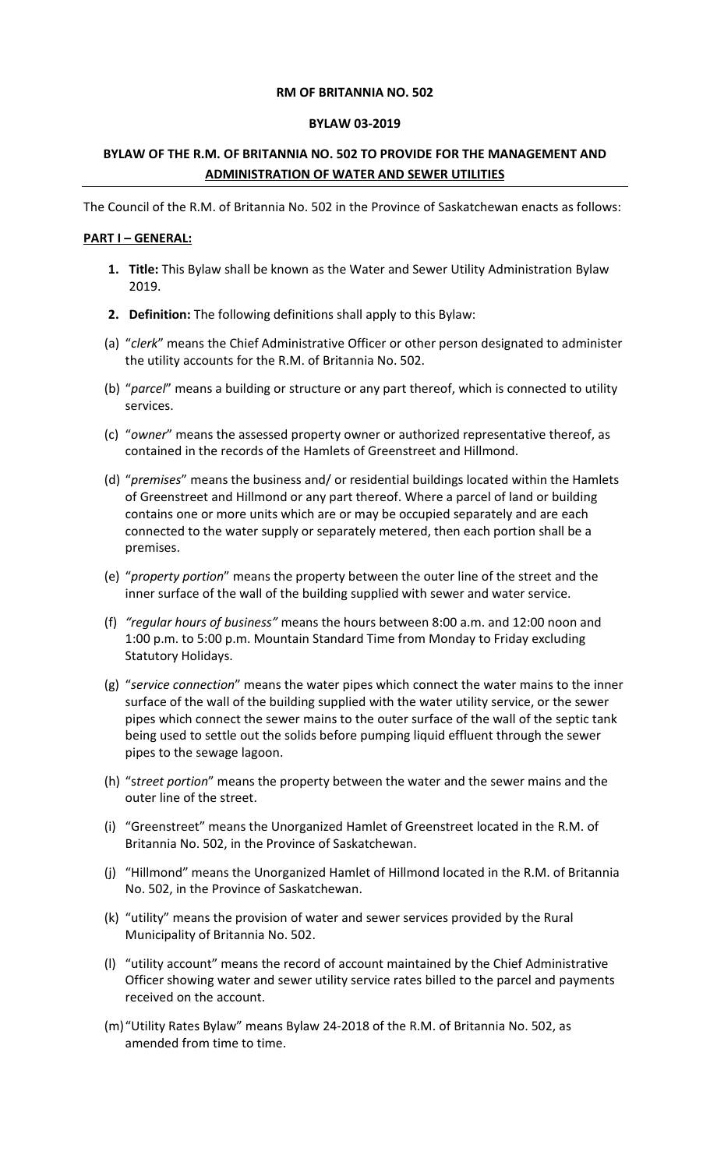#### **RM OF BRITANNIA NO. 502**

#### **BYLAW 03-2019**

# **BYLAW OF THE R.M. OF BRITANNIA NO. 502 TO PROVIDE FOR THE MANAGEMENT AND ADMINISTRATION OF WATER AND SEWER UTILITIES**

The Council of the R.M. of Britannia No. 502 in the Province of Saskatchewan enacts as follows:

### **PART I – GENERAL:**

- **1. Title:** This Bylaw shall be known as the Water and Sewer Utility Administration Bylaw 2019.
- **2. Definition:** The following definitions shall apply to this Bylaw:
- (a) "*clerk*" means the Chief Administrative Officer or other person designated to administer the utility accounts for the R.M. of Britannia No. 502.
- (b) "*parcel*" means a building or structure or any part thereof, which is connected to utility services.
- (c) "*owner*" means the assessed property owner or authorized representative thereof, as contained in the records of the Hamlets of Greenstreet and Hillmond.
- (d) "*premises*" means the business and/ or residential buildings located within the Hamlets of Greenstreet and Hillmond or any part thereof. Where a parcel of land or building contains one or more units which are or may be occupied separately and are each connected to the water supply or separately metered, then each portion shall be a premises.
- (e) "*property portion*" means the property between the outer line of the street and the inner surface of the wall of the building supplied with sewer and water service.
- (f) *"regular hours of business"* means the hours between 8:00 a.m. and 12:00 noon and 1:00 p.m. to 5:00 p.m. Mountain Standard Time from Monday to Friday excluding Statutory Holidays.
- (g) "*service connection*" means the water pipes which connect the water mains to the inner surface of the wall of the building supplied with the water utility service, or the sewer pipes which connect the sewer mains to the outer surface of the wall of the septic tank being used to settle out the solids before pumping liquid effluent through the sewer pipes to the sewage lagoon.
- (h) "s*treet portion*" means the property between the water and the sewer mains and the outer line of the street.
- (i) "Greenstreet" means the Unorganized Hamlet of Greenstreet located in the R.M. of Britannia No. 502, in the Province of Saskatchewan.
- (j) "Hillmond" means the Unorganized Hamlet of Hillmond located in the R.M. of Britannia No. 502, in the Province of Saskatchewan.
- (k) "utility" means the provision of water and sewer services provided by the Rural Municipality of Britannia No. 502.
- (l) "utility account" means the record of account maintained by the Chief Administrative Officer showing water and sewer utility service rates billed to the parcel and payments received on the account.
- (m)"Utility Rates Bylaw" means Bylaw 24-2018 of the R.M. of Britannia No. 502, as amended from time to time.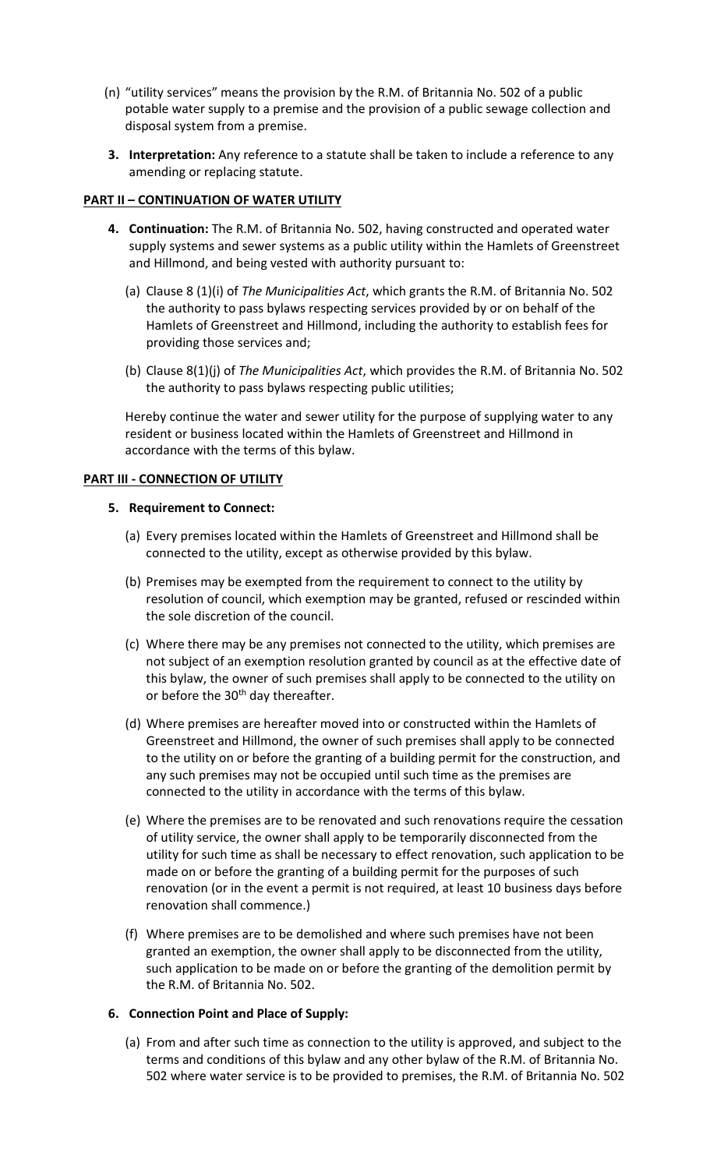- (n) "utility services" means the provision by the R.M. of Britannia No. 502 of a public potable water supply to a premise and the provision of a public sewage collection and disposal system from a premise.
- **3. Interpretation:** Any reference to a statute shall be taken to include a reference to any amending or replacing statute.

# **PART II – CONTINUATION OF WATER UTILITY**

- **4. Continuation:** The R.M. of Britannia No. 502, having constructed and operated water supply systems and sewer systems as a public utility within the Hamlets of Greenstreet and Hillmond, and being vested with authority pursuant to:
	- (a) Clause 8 (1)(i) of *The Municipalities Act*, which grants the R.M. of Britannia No. 502 the authority to pass bylaws respecting services provided by or on behalf of the Hamlets of Greenstreet and Hillmond, including the authority to establish fees for providing those services and;
	- (b) Clause 8(1)(j) of *The Municipalities Act*, which provides the R.M. of Britannia No. 502 the authority to pass bylaws respecting public utilities;

Hereby continue the water and sewer utility for the purpose of supplying water to any resident or business located within the Hamlets of Greenstreet and Hillmond in accordance with the terms of this bylaw.

### **PART III - CONNECTION OF UTILITY**

### **5. Requirement to Connect:**

- (a) Every premises located within the Hamlets of Greenstreet and Hillmond shall be connected to the utility, except as otherwise provided by this bylaw.
- (b) Premises may be exempted from the requirement to connect to the utility by resolution of council, which exemption may be granted, refused or rescinded within the sole discretion of the council.
- (c) Where there may be any premises not connected to the utility, which premises are not subject of an exemption resolution granted by council as at the effective date of this bylaw, the owner of such premises shall apply to be connected to the utility on or before the 30<sup>th</sup> day thereafter.
- (d) Where premises are hereafter moved into or constructed within the Hamlets of Greenstreet and Hillmond, the owner of such premises shall apply to be connected to the utility on or before the granting of a building permit for the construction, and any such premises may not be occupied until such time as the premises are connected to the utility in accordance with the terms of this bylaw.
- (e) Where the premises are to be renovated and such renovations require the cessation of utility service, the owner shall apply to be temporarily disconnected from the utility for such time as shall be necessary to effect renovation, such application to be made on or before the granting of a building permit for the purposes of such renovation (or in the event a permit is not required, at least 10 business days before renovation shall commence.)
- (f) Where premises are to be demolished and where such premises have not been granted an exemption, the owner shall apply to be disconnected from the utility, such application to be made on or before the granting of the demolition permit by the R.M. of Britannia No. 502.

# **6. Connection Point and Place of Supply:**

(a) From and after such time as connection to the utility is approved, and subject to the terms and conditions of this bylaw and any other bylaw of the R.M. of Britannia No. 502 where water service is to be provided to premises, the R.M. of Britannia No. 502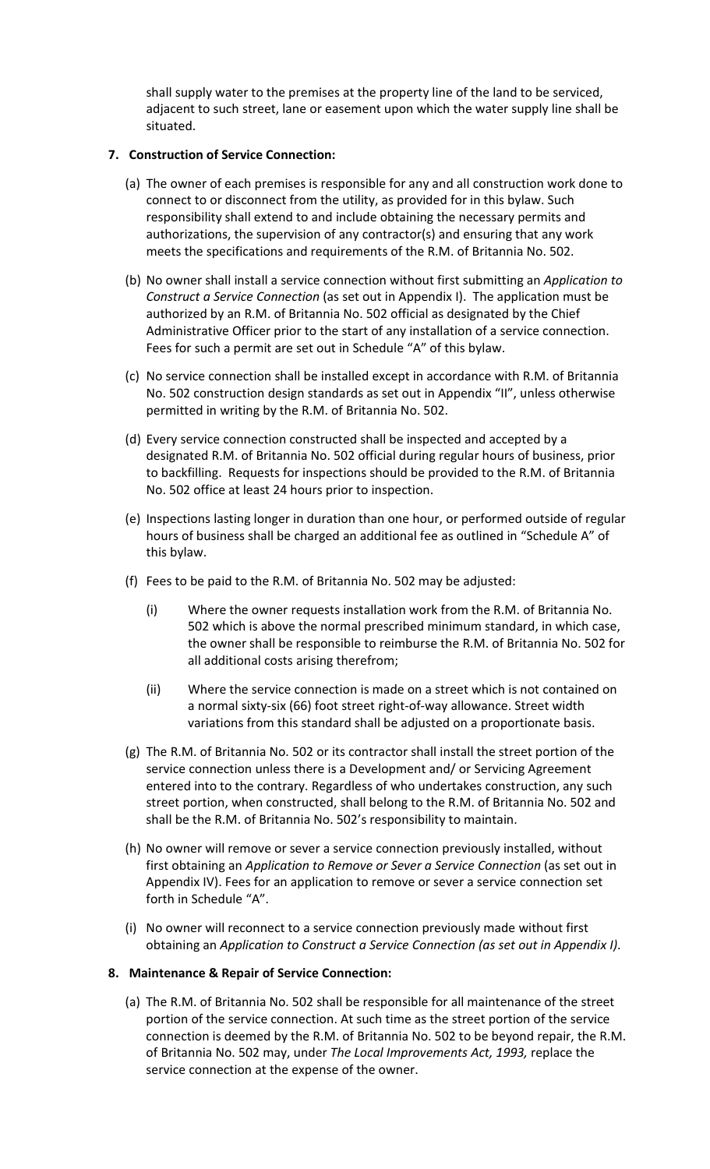shall supply water to the premises at the property line of the land to be serviced, adjacent to such street, lane or easement upon which the water supply line shall be situated.

## **7. Construction of Service Connection:**

- (a) The owner of each premises is responsible for any and all construction work done to connect to or disconnect from the utility, as provided for in this bylaw. Such responsibility shall extend to and include obtaining the necessary permits and authorizations, the supervision of any contractor(s) and ensuring that any work meets the specifications and requirements of the R.M. of Britannia No. 502.
- (b) No owner shall install a service connection without first submitting an *Application to Construct a Service Connection* (as set out in Appendix I). The application must be authorized by an R.M. of Britannia No. 502 official as designated by the Chief Administrative Officer prior to the start of any installation of a service connection. Fees for such a permit are set out in Schedule "A" of this bylaw.
- (c) No service connection shall be installed except in accordance with R.M. of Britannia No. 502 construction design standards as set out in Appendix "II", unless otherwise permitted in writing by the R.M. of Britannia No. 502.
- (d) Every service connection constructed shall be inspected and accepted by a designated R.M. of Britannia No. 502 official during regular hours of business, prior to backfilling. Requests for inspections should be provided to the R.M. of Britannia No. 502 office at least 24 hours prior to inspection.
- (e) Inspections lasting longer in duration than one hour, or performed outside of regular hours of business shall be charged an additional fee as outlined in "Schedule A" of this bylaw.
- (f) Fees to be paid to the R.M. of Britannia No. 502 may be adjusted:
	- (i) Where the owner requests installation work from the R.M. of Britannia No. 502 which is above the normal prescribed minimum standard, in which case, the owner shall be responsible to reimburse the R.M. of Britannia No. 502 for all additional costs arising therefrom;
	- (ii) Where the service connection is made on a street which is not contained on a normal sixty-six (66) foot street right-of-way allowance. Street width variations from this standard shall be adjusted on a proportionate basis.
- (g) The R.M. of Britannia No. 502 or its contractor shall install the street portion of the service connection unless there is a Development and/ or Servicing Agreement entered into to the contrary. Regardless of who undertakes construction, any such street portion, when constructed, shall belong to the R.M. of Britannia No. 502 and shall be the R.M. of Britannia No. 502's responsibility to maintain.
- (h) No owner will remove or sever a service connection previously installed, without first obtaining an *Application to Remove or Sever a Service Connection* (as set out in Appendix IV). Fees for an application to remove or sever a service connection set forth in Schedule "A".
- (i) No owner will reconnect to a service connection previously made without first obtaining an *Application to Construct a Service Connection (as set out in Appendix I)*.

## **8. Maintenance & Repair of Service Connection:**

(a) The R.M. of Britannia No. 502 shall be responsible for all maintenance of the street portion of the service connection. At such time as the street portion of the service connection is deemed by the R.M. of Britannia No. 502 to be beyond repair, the R.M. of Britannia No. 502 may, under *The Local Improvements Act, 1993,* replace the service connection at the expense of the owner.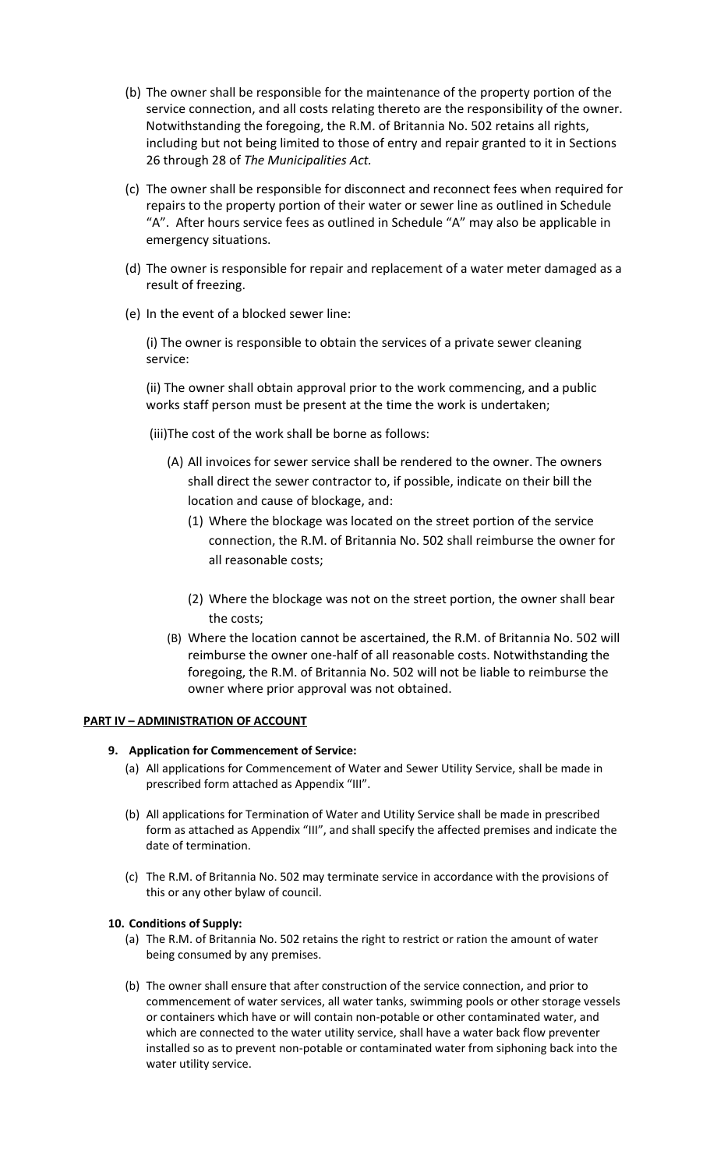- (b) The owner shall be responsible for the maintenance of the property portion of the service connection, and all costs relating thereto are the responsibility of the owner. Notwithstanding the foregoing, the R.M. of Britannia No. 502 retains all rights, including but not being limited to those of entry and repair granted to it in Sections 26 through 28 of *The Municipalities Act.*
- (c) The owner shall be responsible for disconnect and reconnect fees when required for repairs to the property portion of their water or sewer line as outlined in Schedule "A". After hours service fees as outlined in Schedule "A" may also be applicable in emergency situations.
- (d) The owner is responsible for repair and replacement of a water meter damaged as a result of freezing.
- (e) In the event of a blocked sewer line:

(i) The owner is responsible to obtain the services of a private sewer cleaning service:

(ii) The owner shall obtain approval prior to the work commencing, and a public works staff person must be present at the time the work is undertaken;

(iii)The cost of the work shall be borne as follows:

- (A) All invoices for sewer service shall be rendered to the owner. The owners shall direct the sewer contractor to, if possible, indicate on their bill the location and cause of blockage, and:
	- (1) Where the blockage was located on the street portion of the service connection, the R.M. of Britannia No. 502 shall reimburse the owner for all reasonable costs;
	- (2) Where the blockage was not on the street portion, the owner shall bear the costs;
- (B) Where the location cannot be ascertained, the R.M. of Britannia No. 502 will reimburse the owner one-half of all reasonable costs. Notwithstanding the foregoing, the R.M. of Britannia No. 502 will not be liable to reimburse the owner where prior approval was not obtained.

#### **PART IV – ADMINISTRATION OF ACCOUNT**

#### **9. Application for Commencement of Service:**

- (a) All applications for Commencement of Water and Sewer Utility Service, shall be made in prescribed form attached as Appendix "III".
- (b) All applications for Termination of Water and Utility Service shall be made in prescribed form as attached as Appendix "III", and shall specify the affected premises and indicate the date of termination.
- (c) The R.M. of Britannia No. 502 may terminate service in accordance with the provisions of this or any other bylaw of council.

#### **10. Conditions of Supply:**

- (a) The R.M. of Britannia No. 502 retains the right to restrict or ration the amount of water being consumed by any premises.
- (b) The owner shall ensure that after construction of the service connection, and prior to commencement of water services, all water tanks, swimming pools or other storage vessels or containers which have or will contain non-potable or other contaminated water, and which are connected to the water utility service, shall have a water back flow preventer installed so as to prevent non-potable or contaminated water from siphoning back into the water utility service.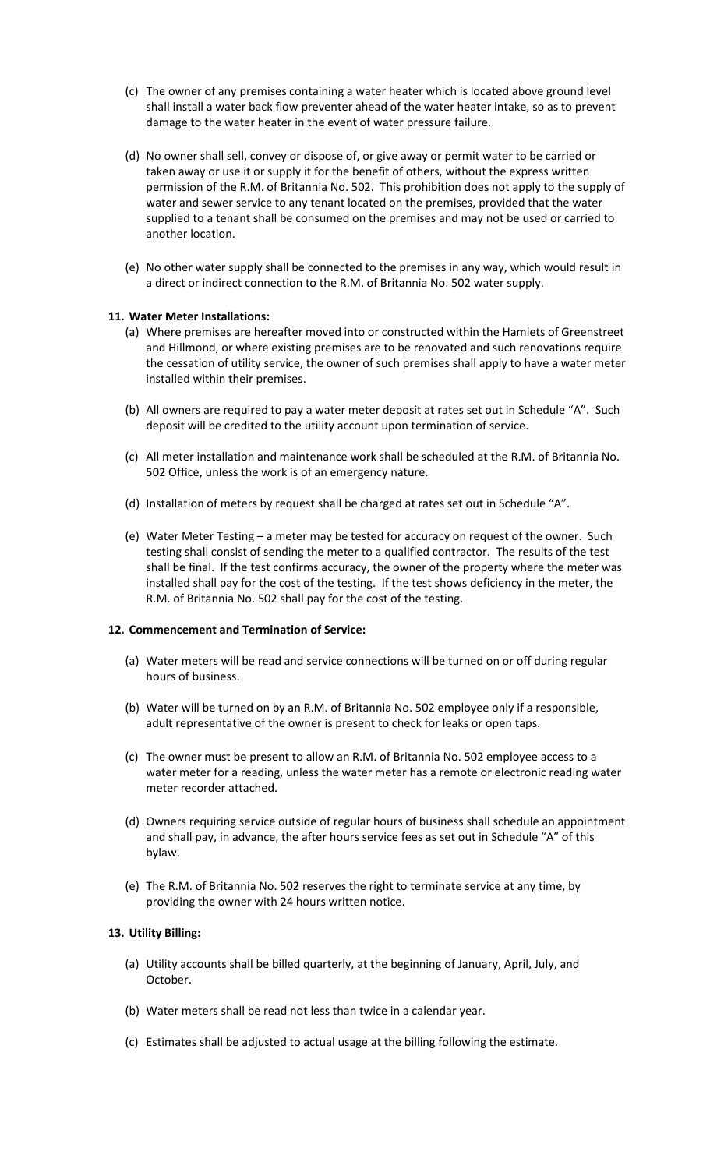- (c) The owner of any premises containing a water heater which is located above ground level shall install a water back flow preventer ahead of the water heater intake, so as to prevent damage to the water heater in the event of water pressure failure.
- (d) No owner shall sell, convey or dispose of, or give away or permit water to be carried or taken away or use it or supply it for the benefit of others, without the express written permission of the R.M. of Britannia No. 502. This prohibition does not apply to the supply of water and sewer service to any tenant located on the premises, provided that the water supplied to a tenant shall be consumed on the premises and may not be used or carried to another location.
- (e) No other water supply shall be connected to the premises in any way, which would result in a direct or indirect connection to the R.M. of Britannia No. 502 water supply.

#### **11. Water Meter Installations:**

- (a) Where premises are hereafter moved into or constructed within the Hamlets of Greenstreet and Hillmond, or where existing premises are to be renovated and such renovations require the cessation of utility service, the owner of such premises shall apply to have a water meter installed within their premises.
- (b) All owners are required to pay a water meter deposit at rates set out in Schedule "A". Such deposit will be credited to the utility account upon termination of service.
- (c) All meter installation and maintenance work shall be scheduled at the R.M. of Britannia No. 502 Office, unless the work is of an emergency nature.
- (d) Installation of meters by request shall be charged at rates set out in Schedule "A".
- (e) Water Meter Testing a meter may be tested for accuracy on request of the owner. Such testing shall consist of sending the meter to a qualified contractor. The results of the test shall be final. If the test confirms accuracy, the owner of the property where the meter was installed shall pay for the cost of the testing. If the test shows deficiency in the meter, the R.M. of Britannia No. 502 shall pay for the cost of the testing.

#### **12. Commencement and Termination of Service:**

- (a) Water meters will be read and service connections will be turned on or off during regular hours of business.
- (b) Water will be turned on by an R.M. of Britannia No. 502 employee only if a responsible, adult representative of the owner is present to check for leaks or open taps.
- (c) The owner must be present to allow an R.M. of Britannia No. 502 employee access to a water meter for a reading, unless the water meter has a remote or electronic reading water meter recorder attached.
- (d) Owners requiring service outside of regular hours of business shall schedule an appointment and shall pay, in advance, the after hours service fees as set out in Schedule "A" of this bylaw.
- (e) The R.M. of Britannia No. 502 reserves the right to terminate service at any time, by providing the owner with 24 hours written notice.

#### **13. Utility Billing:**

- (a) Utility accounts shall be billed quarterly, at the beginning of January, April, July, and October.
- (b) Water meters shall be read not less than twice in a calendar year.
- (c) Estimates shall be adjusted to actual usage at the billing following the estimate.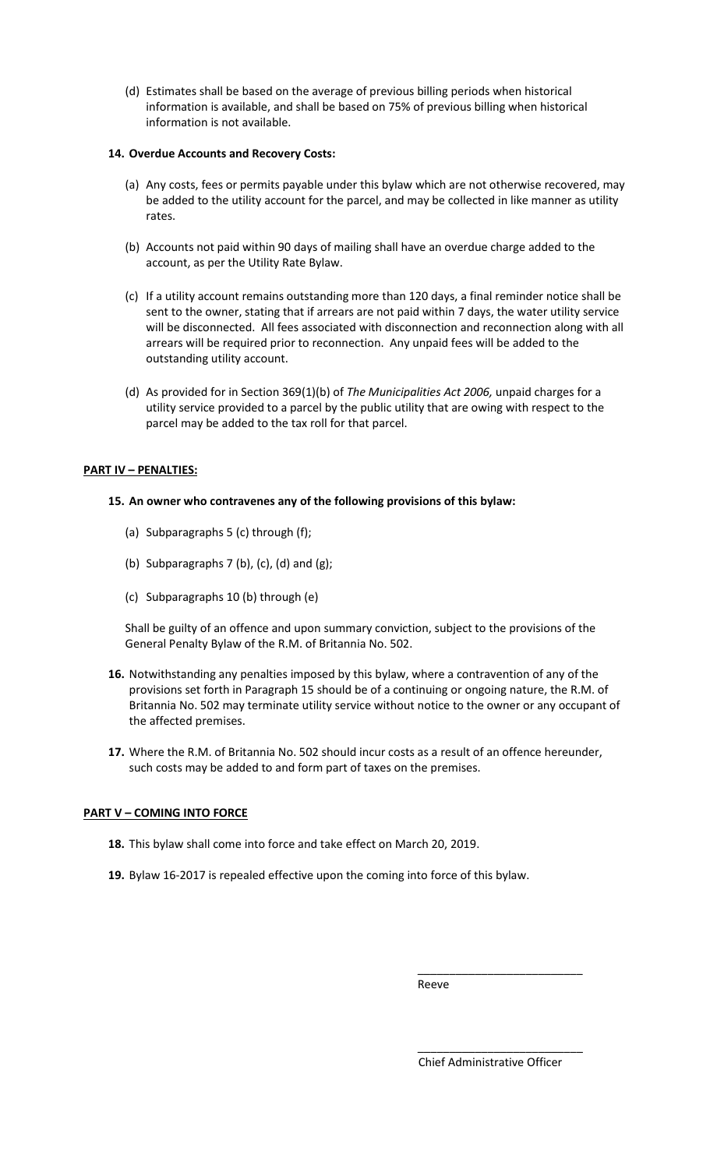(d) Estimates shall be based on the average of previous billing periods when historical information is available, and shall be based on 75% of previous billing when historical information is not available.

### **14. Overdue Accounts and Recovery Costs:**

- (a) Any costs, fees or permits payable under this bylaw which are not otherwise recovered, may be added to the utility account for the parcel, and may be collected in like manner as utility rates.
- (b) Accounts not paid within 90 days of mailing shall have an overdue charge added to the account, as per the Utility Rate Bylaw.
- (c) If a utility account remains outstanding more than 120 days, a final reminder notice shall be sent to the owner, stating that if arrears are not paid within 7 days, the water utility service will be disconnected. All fees associated with disconnection and reconnection along with all arrears will be required prior to reconnection. Any unpaid fees will be added to the outstanding utility account.
- (d) As provided for in Section 369(1)(b) of *The Municipalities Act 2006,* unpaid charges for a utility service provided to a parcel by the public utility that are owing with respect to the parcel may be added to the tax roll for that parcel.

## **PART IV – PENALTIES:**

### **15. An owner who contravenes any of the following provisions of this bylaw:**

- (a) Subparagraphs 5 (c) through (f);
- (b) Subparagraphs  $7$  (b), (c), (d) and (g);
- (c) Subparagraphs 10 (b) through (e)

Shall be guilty of an offence and upon summary conviction, subject to the provisions of the General Penalty Bylaw of the R.M. of Britannia No. 502.

- **16.** Notwithstanding any penalties imposed by this bylaw, where a contravention of any of the provisions set forth in Paragraph 15 should be of a continuing or ongoing nature, the R.M. of Britannia No. 502 may terminate utility service without notice to the owner or any occupant of the affected premises.
- **17.** Where the R.M. of Britannia No. 502 should incur costs as a result of an offence hereunder, such costs may be added to and form part of taxes on the premises.

## **PART V – COMING INTO FORCE**

- **18.** This bylaw shall come into force and take effect on March 20, 2019.
- **19.** Bylaw 16-2017 is repealed effective upon the coming into force of this bylaw.

Reeve

Chief Administrative Officer

\_\_\_\_\_\_\_\_\_\_\_\_\_\_\_\_\_\_\_\_\_\_\_\_\_\_

\_\_\_\_\_\_\_\_\_\_\_\_\_\_\_\_\_\_\_\_\_\_\_\_\_\_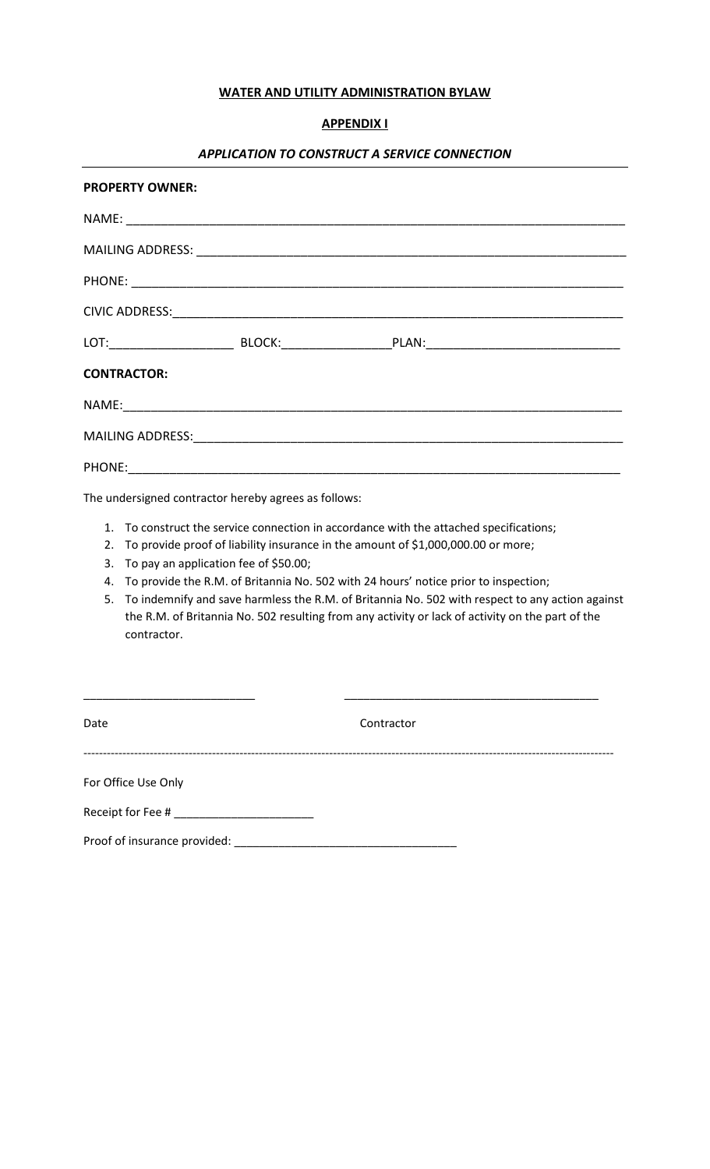## **WATER AND UTILITY ADMINISTRATION BYLAW**

## **APPENDIX I**

# *APPLICATION TO CONSTRUCT A SERVICE CONNECTION*

|    | <b>PROPERTY OWNER:</b>                                                                                         |  |  |
|----|----------------------------------------------------------------------------------------------------------------|--|--|
|    |                                                                                                                |  |  |
|    |                                                                                                                |  |  |
|    |                                                                                                                |  |  |
|    |                                                                                                                |  |  |
|    | LOT:_____________________________BLOCK:_______________________PLAN:_________________________________           |  |  |
|    | <b>CONTRACTOR:</b>                                                                                             |  |  |
|    |                                                                                                                |  |  |
|    | MAILING ADDRESS: North and Alliance and Alliance and Alliance and Alliance and Alliance and Alliance and Allia |  |  |
|    |                                                                                                                |  |  |
|    | The undersigned contractor hereby agrees as follows:                                                           |  |  |
|    | 1. To construct the service connection in accordance with the attached specifications;                         |  |  |
| 2. | To provide proof of liability insurance in the amount of \$1,000,000.00 or more;                               |  |  |
| 3. | To pay an application fee of \$50.00;                                                                          |  |  |
| 4. | To provide the R.M. of Britannia No. 502 with 24 hours' notice prior to inspection;                            |  |  |
| 5. | To indemnify and save harmless the R.M. of Britannia No. 502 with respect to any action against                |  |  |
|    | the R.M. of Britannia No. 502 resulting from any activity or lack of activity on the part of the               |  |  |
|    | contractor.                                                                                                    |  |  |
|    |                                                                                                                |  |  |

| Date                                      | Contractor |
|-------------------------------------------|------------|
| For Office Use Only                       |            |
| Receipt for Fee # _______________________ |            |
| Proof of insurance provided:              |            |

\_\_\_\_\_\_\_\_\_\_\_\_\_\_\_\_\_\_\_\_\_\_\_\_\_\_\_ \_\_\_\_\_\_\_\_\_\_\_\_\_\_\_\_\_\_\_\_\_\_\_\_\_\_\_\_\_\_\_\_\_\_\_\_\_\_\_\_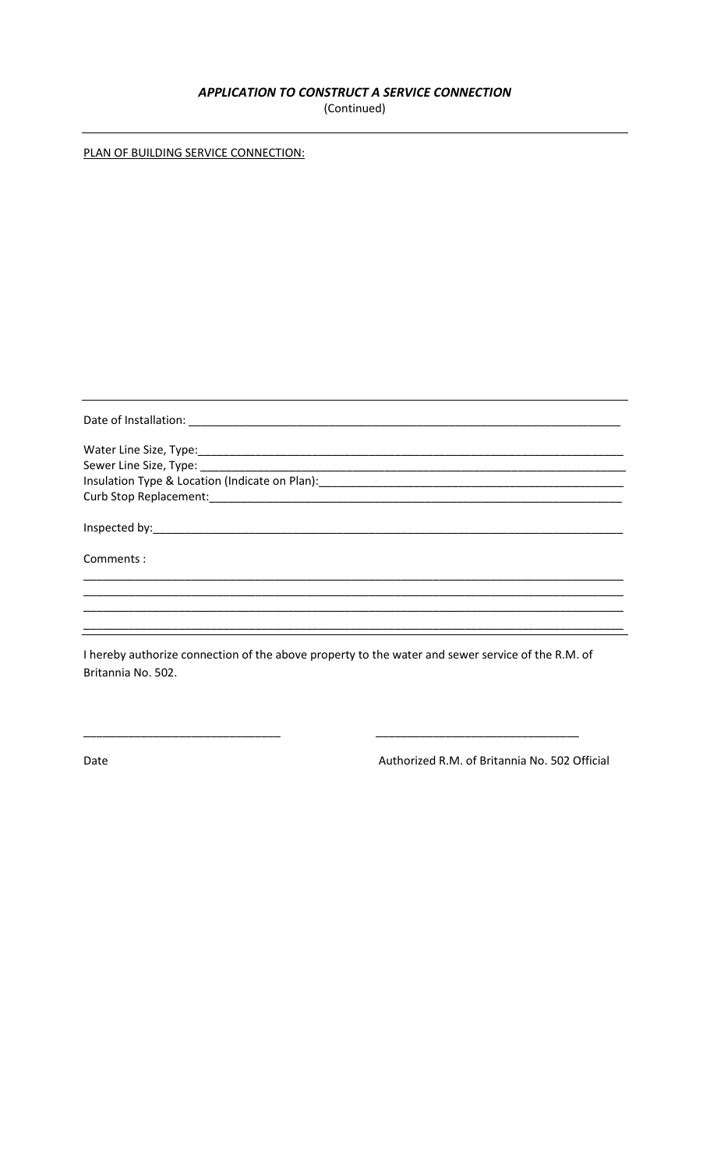# APPLICATION TO CONSTRUCT A SERVICE CONNECTION

(Continued)

|--|

| Water Line Size, Type: 1988 Contract Contract Contract Contract Contract Contract Contract Contract Contract Contract Contract Contract Contract Contract Contract Contract Contract Contract Contract Contract Contract Contr |
|--------------------------------------------------------------------------------------------------------------------------------------------------------------------------------------------------------------------------------|
|                                                                                                                                                                                                                                |
|                                                                                                                                                                                                                                |
|                                                                                                                                                                                                                                |
|                                                                                                                                                                                                                                |
| Comments:                                                                                                                                                                                                                      |
|                                                                                                                                                                                                                                |
|                                                                                                                                                                                                                                |
| I hereby authorize connection of the above property to the water and sewer service of the R.M. of                                                                                                                              |

e connection of the above property to the water and sewer service of  $the$ O ereby autho Britannia No. 502.

Date

Authorized R.M. of Britannia No. 502 Official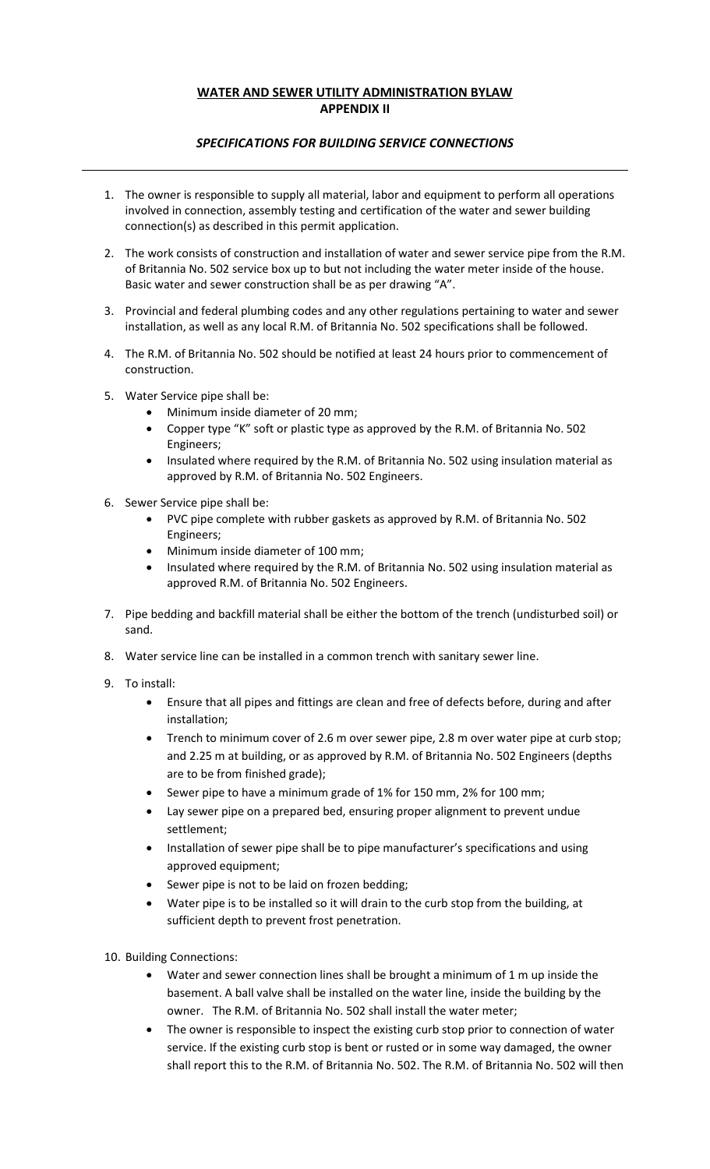## **WATER AND SEWER UTILITY ADMINISTRATION BYLAW APPENDIX II**

## *SPECIFICATIONS FOR BUILDING SERVICE CONNECTIONS*

- 1. The owner is responsible to supply all material, labor and equipment to perform all operations involved in connection, assembly testing and certification of the water and sewer building connection(s) as described in this permit application.
- 2. The work consists of construction and installation of water and sewer service pipe from the R.M. of Britannia No. 502 service box up to but not including the water meter inside of the house. Basic water and sewer construction shall be as per drawing "A".
- 3. Provincial and federal plumbing codes and any other regulations pertaining to water and sewer installation, as well as any local R.M. of Britannia No. 502 specifications shall be followed.
- 4. The R.M. of Britannia No. 502 should be notified at least 24 hours prior to commencement of construction.
- 5. Water Service pipe shall be:
	- Minimum inside diameter of 20 mm;
	- Copper type "K" soft or plastic type as approved by the R.M. of Britannia No. 502 Engineers;
	- Insulated where required by the R.M. of Britannia No. 502 using insulation material as approved by R.M. of Britannia No. 502 Engineers.
- 6. Sewer Service pipe shall be:
	- PVC pipe complete with rubber gaskets as approved by R.M. of Britannia No. 502 Engineers;
	- Minimum inside diameter of 100 mm;
	- Insulated where required by the R.M. of Britannia No. 502 using insulation material as approved R.M. of Britannia No. 502 Engineers.
- 7. Pipe bedding and backfill material shall be either the bottom of the trench (undisturbed soil) or sand.
- 8. Water service line can be installed in a common trench with sanitary sewer line.
- 9. To install:
	- Ensure that all pipes and fittings are clean and free of defects before, during and after installation;
	- Trench to minimum cover of 2.6 m over sewer pipe, 2.8 m over water pipe at curb stop; and 2.25 m at building, or as approved by R.M. of Britannia No. 502 Engineers (depths are to be from finished grade);
	- Sewer pipe to have a minimum grade of 1% for 150 mm, 2% for 100 mm;
	- Lay sewer pipe on a prepared bed, ensuring proper alignment to prevent undue settlement;
	- Installation of sewer pipe shall be to pipe manufacturer's specifications and using approved equipment;
	- Sewer pipe is not to be laid on frozen bedding;
	- Water pipe is to be installed so it will drain to the curb stop from the building, at sufficient depth to prevent frost penetration.
- 10. Building Connections:
	- Water and sewer connection lines shall be brought a minimum of 1 m up inside the basement. A ball valve shall be installed on the water line, inside the building by the owner. The R.M. of Britannia No. 502 shall install the water meter;
	- The owner is responsible to inspect the existing curb stop prior to connection of water service. If the existing curb stop is bent or rusted or in some way damaged, the owner shall report this to the R.M. of Britannia No. 502. The R.M. of Britannia No. 502 will then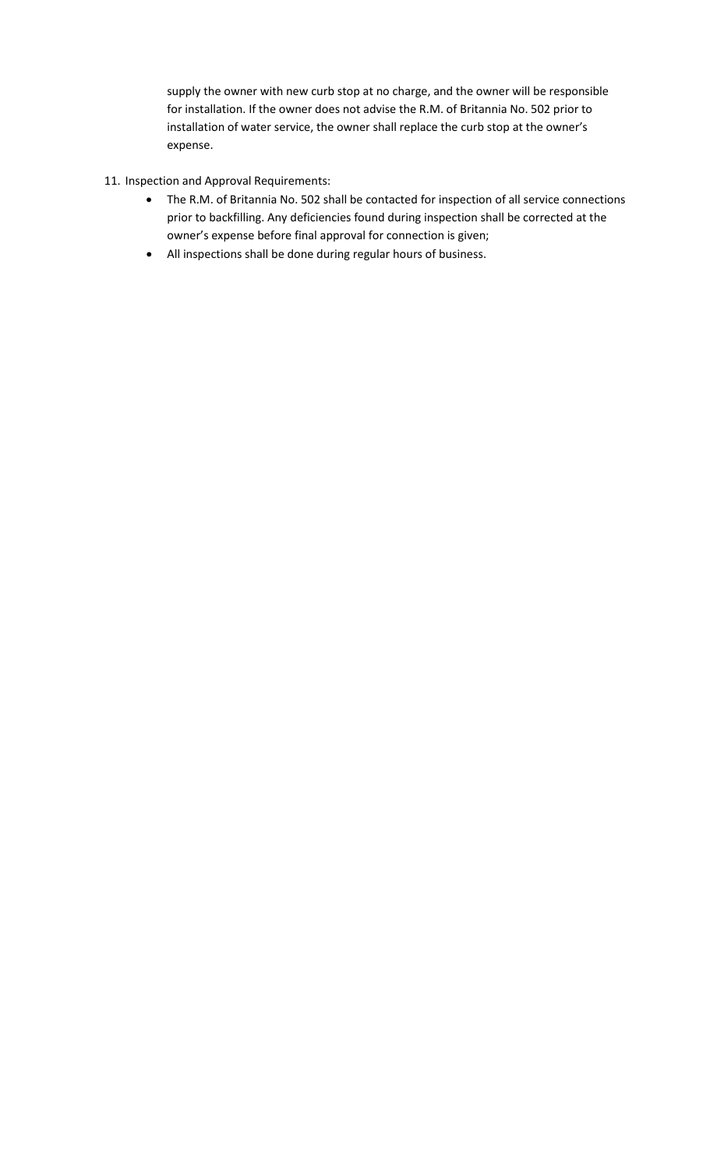supply the owner with new curb stop at no charge, and the owner will be responsible for installation. If the owner does not advise the R.M. of Britannia No. 502 prior to installation of water service, the owner shall replace the curb stop at the owner's expense.

- 11. Inspection and Approval Requirements:
	- The R.M. of Britannia No. 502 shall be contacted for inspection of all service connections prior to backfilling. Any deficiencies found during inspection shall be corrected at the owner's expense before final approval for connection is given;
	- All inspections shall be done during regular hours of business.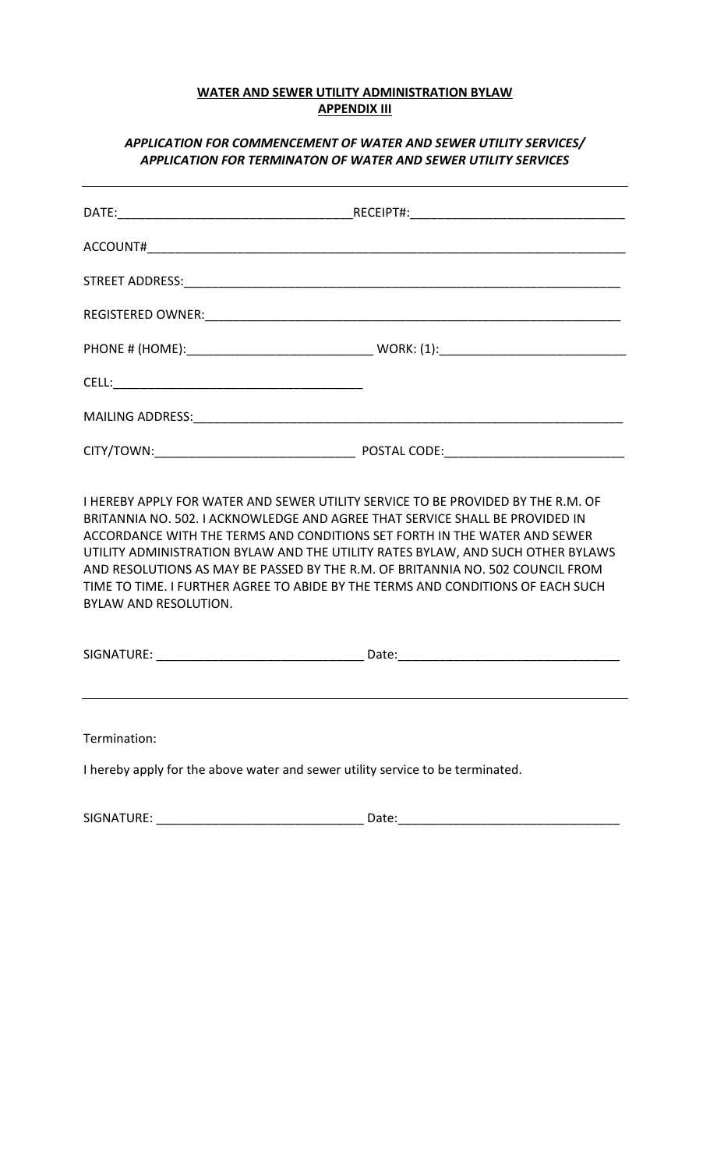## **WATER AND SEWER UTILITY ADMINISTRATION BYLAW APPENDIX III**

## *APPLICATION FOR COMMENCEMENT OF WATER AND SEWER UTILITY SERVICES/ APPLICATION FOR TERMINATON OF WATER AND SEWER UTILITY SERVICES*

I HEREBY APPLY FOR WATER AND SEWER UTILITY SERVICE TO BE PROVIDED BY THE R.M. OF BRITANNIA NO. 502. I ACKNOWLEDGE AND AGREE THAT SERVICE SHALL BE PROVIDED IN ACCORDANCE WITH THE TERMS AND CONDITIONS SET FORTH IN THE WATER AND SEWER UTILITY ADMINISTRATION BYLAW AND THE UTILITY RATES BYLAW, AND SUCH OTHER BYLAWS AND RESOLUTIONS AS MAY BE PASSED BY THE R.M. OF BRITANNIA NO. 502 COUNCIL FROM TIME TO TIME. I FURTHER AGREE TO ABIDE BY THE TERMS AND CONDITIONS OF EACH SUCH BYLAW AND RESOLUTION.

SIGNATURE: \_\_\_\_\_\_\_\_\_\_\_\_\_\_\_\_\_\_\_\_\_\_\_\_\_\_\_\_\_\_ Date:\_\_\_\_\_\_\_\_\_\_\_\_\_\_\_\_\_\_\_\_\_\_\_\_\_\_\_\_\_\_\_\_

Termination:

I hereby apply for the above water and sewer utility service to be terminated.

SIGNATURE: \_\_\_\_\_\_\_\_\_\_\_\_\_\_\_\_\_\_\_\_\_\_\_\_\_\_\_\_\_\_ Date:\_\_\_\_\_\_\_\_\_\_\_\_\_\_\_\_\_\_\_\_\_\_\_\_\_\_\_\_\_\_\_\_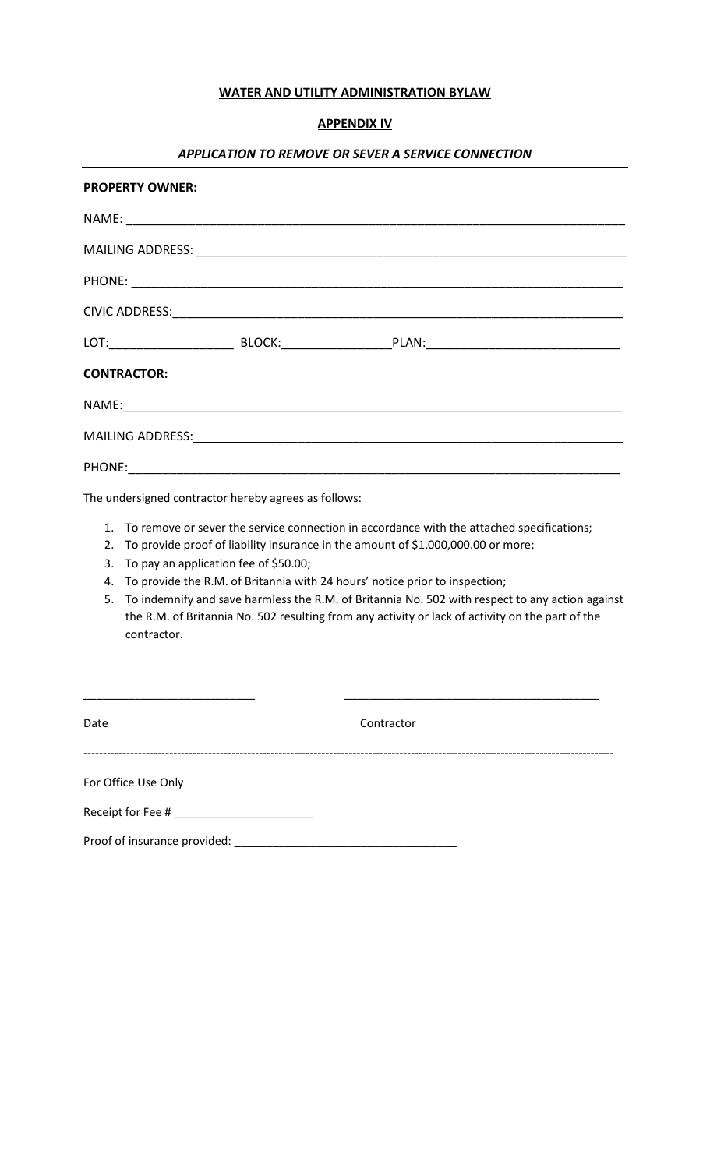## **WATER AND UTILITY ADMINISTRATION BYLAW**

# **APPENDIX IV**

# *APPLICATION TO REMOVE OR SEVER A SERVICE CONNECTION*

| <b>PROPERTY OWNER:</b>                               |                                                                                                                                                                                                                                                                                                                                                                                                                                                                                                                                   |  |  |
|------------------------------------------------------|-----------------------------------------------------------------------------------------------------------------------------------------------------------------------------------------------------------------------------------------------------------------------------------------------------------------------------------------------------------------------------------------------------------------------------------------------------------------------------------------------------------------------------------|--|--|
|                                                      |                                                                                                                                                                                                                                                                                                                                                                                                                                                                                                                                   |  |  |
|                                                      |                                                                                                                                                                                                                                                                                                                                                                                                                                                                                                                                   |  |  |
|                                                      |                                                                                                                                                                                                                                                                                                                                                                                                                                                                                                                                   |  |  |
|                                                      |                                                                                                                                                                                                                                                                                                                                                                                                                                                                                                                                   |  |  |
|                                                      |                                                                                                                                                                                                                                                                                                                                                                                                                                                                                                                                   |  |  |
|                                                      | <b>CONTRACTOR:</b>                                                                                                                                                                                                                                                                                                                                                                                                                                                                                                                |  |  |
|                                                      |                                                                                                                                                                                                                                                                                                                                                                                                                                                                                                                                   |  |  |
|                                                      |                                                                                                                                                                                                                                                                                                                                                                                                                                                                                                                                   |  |  |
|                                                      |                                                                                                                                                                                                                                                                                                                                                                                                                                                                                                                                   |  |  |
| The undersigned contractor hereby agrees as follows: |                                                                                                                                                                                                                                                                                                                                                                                                                                                                                                                                   |  |  |
| 2.<br>3.<br>5.                                       | 1. To remove or sever the service connection in accordance with the attached specifications;<br>To provide proof of liability insurance in the amount of \$1,000,000.00 or more;<br>To pay an application fee of \$50.00;<br>4. To provide the R.M. of Britannia with 24 hours' notice prior to inspection;<br>To indemnify and save harmless the R.M. of Britannia No. 502 with respect to any action against<br>the R.M. of Britannia No. 502 resulting from any activity or lack of activity on the part of the<br>contractor. |  |  |

| Date                                                               | Contractor |
|--------------------------------------------------------------------|------------|
| For Office Use Only                                                |            |
| Receipt for Fee # ___________________________                      |            |
| Proof of insurance provided: National Proof of insurance provided: |            |

\_\_\_\_\_\_\_\_\_\_\_\_\_\_\_\_\_\_\_\_\_\_\_\_\_\_\_ \_\_\_\_\_\_\_\_\_\_\_\_\_\_\_\_\_\_\_\_\_\_\_\_\_\_\_\_\_\_\_\_\_\_\_\_\_\_\_\_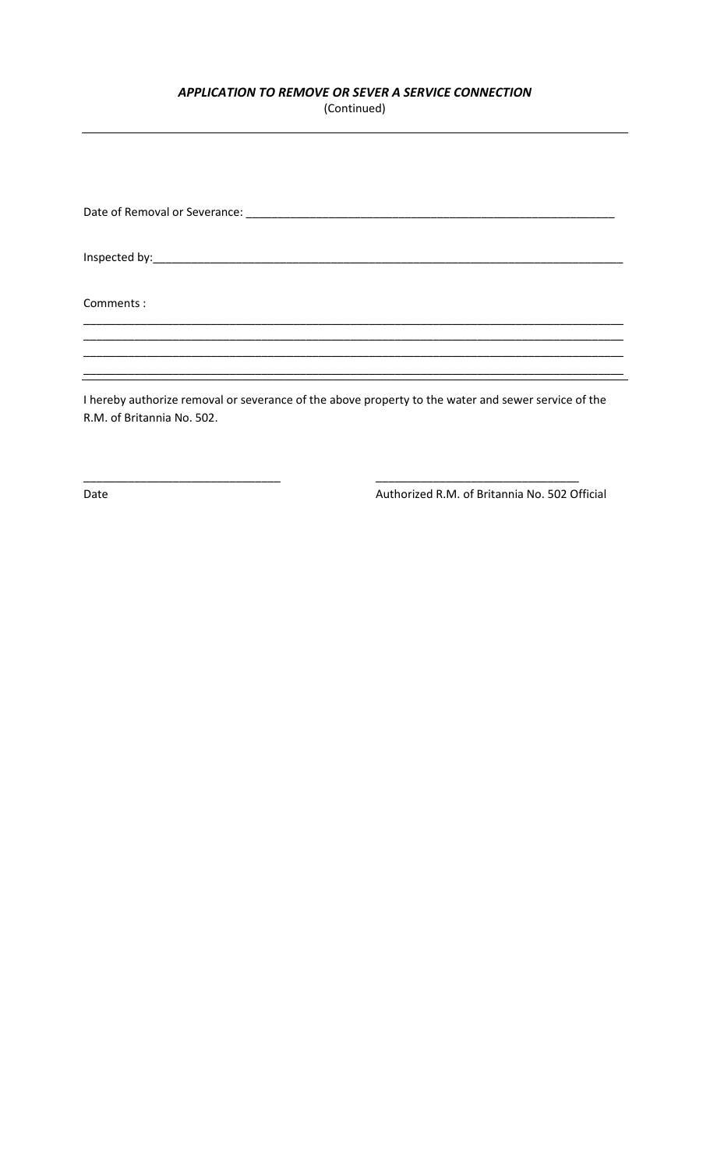# *APPLICATION TO REMOVE OR SEVER A SERVICE CONNECTION*

(Continued)

Date of Removal or Severance: \_\_\_\_\_\_\_\_\_\_\_\_\_\_\_\_\_\_\_\_\_\_\_\_\_\_\_\_\_\_\_\_\_\_\_\_\_\_\_\_\_\_\_\_\_\_\_\_\_\_\_\_\_\_\_\_\_\_

Inspected by:\_\_\_\_\_\_\_\_\_\_\_\_\_\_\_\_\_\_\_\_\_\_\_\_\_\_\_\_\_\_\_\_\_\_\_\_\_\_\_\_\_\_\_\_\_\_\_\_\_\_\_\_\_\_\_\_\_\_\_\_\_\_\_\_\_\_\_\_\_\_\_\_\_\_

Comments :

I hereby authorize removal or severance of the above property to the water and sewer service of the R.M. of Britannia No. 502.

\_\_\_\_\_\_\_\_\_\_\_\_\_\_\_\_\_\_\_\_\_\_\_\_\_\_\_\_\_\_\_ \_\_\_\_\_\_\_\_\_\_\_\_\_\_\_\_\_\_\_\_\_\_\_\_\_\_\_\_\_\_\_\_

\_\_\_\_\_\_\_\_\_\_\_\_\_\_\_\_\_\_\_\_\_\_\_\_\_\_\_\_\_\_\_\_\_\_\_\_\_\_\_\_\_\_\_\_\_\_\_\_\_\_\_\_\_\_\_\_\_\_\_\_\_\_\_\_\_\_\_\_\_\_\_\_\_\_\_\_\_\_\_\_\_\_\_\_\_ \_\_\_\_\_\_\_\_\_\_\_\_\_\_\_\_\_\_\_\_\_\_\_\_\_\_\_\_\_\_\_\_\_\_\_\_\_\_\_\_\_\_\_\_\_\_\_\_\_\_\_\_\_\_\_\_\_\_\_\_\_\_\_\_\_\_\_\_\_\_\_\_\_\_\_\_\_\_\_\_\_\_\_\_\_ \_\_\_\_\_\_\_\_\_\_\_\_\_\_\_\_\_\_\_\_\_\_\_\_\_\_\_\_\_\_\_\_\_\_\_\_\_\_\_\_\_\_\_\_\_\_\_\_\_\_\_\_\_\_\_\_\_\_\_\_\_\_\_\_\_\_\_\_\_\_\_\_\_\_\_\_\_\_\_\_\_\_\_\_\_ \_\_\_\_\_\_\_\_\_\_\_\_\_\_\_\_\_\_\_\_\_\_\_\_\_\_\_\_\_\_\_\_\_\_\_\_\_\_\_\_\_\_\_\_\_\_\_\_\_\_\_\_\_\_\_\_\_\_\_\_\_\_\_\_\_\_\_\_\_\_\_\_\_\_\_\_\_\_\_\_\_\_\_\_\_

Date **Date Authorized R.M. of Britannia No. 502 Official**